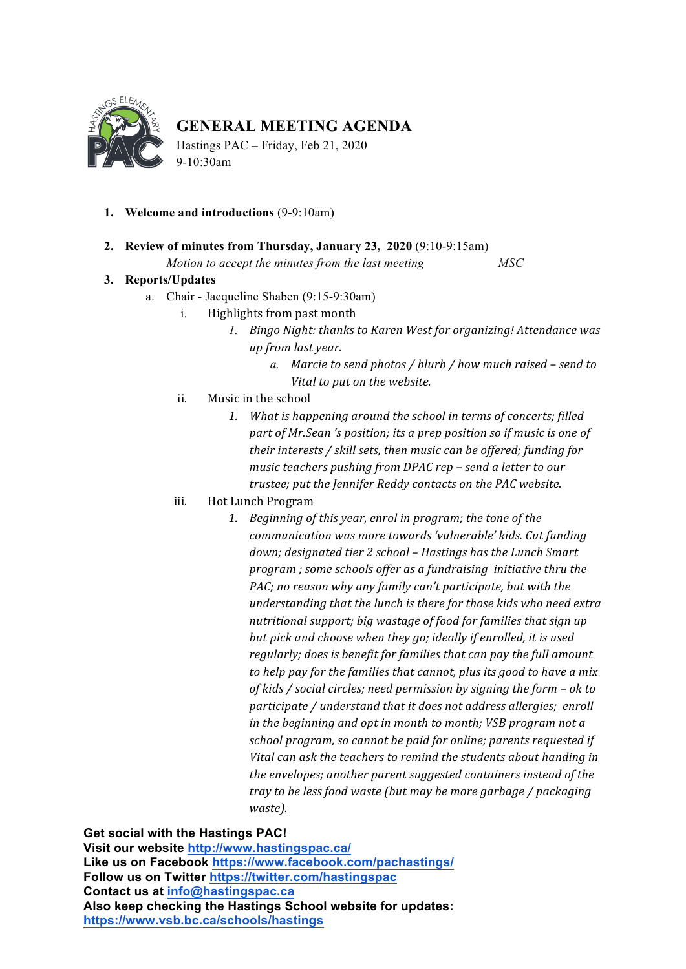

## **GENERAL MEETING AGENDA**

Hastings PAC – Friday, Feb 21, 2020 9-10:30am

- **1. Welcome and introductions** (9-9:10am)
- **2. Review of minutes from Thursday, January 23, 2020** (9:10-9:15am)

*Motion to accept the minutes from the last meeting MSC*

## **3. Reports/Updates**

- a. Chair Jacqueline Shaben (9:15-9:30am)
	- i. Highlights from past month
		- 1. Bingo Night: thanks to Karen West for organizing! Attendance was *up from last year.*
			- *a.* Marcie to send photos / blurb / how much raised send to *Vital* to put on the website.
	- ii. Music in the school
		- 1. What is happening around the school in terms of concerts; filled part of Mr.Sean 's position; its a prep position so if music is one of *their interests* / *skill sets, then music can be offered; funding for music* teachers pushing from DPAC rep - send a letter to our *trustee; put the Jennifer Reddy contacts on the PAC website.*
	- iii. Hot Lunch Program
		- 1. Beginning of this year, enrol in program; the tone of the *communication* was more towards 'vulnerable' kids. Cut funding down; designated tier 2 school – Hastings has the Lunch Smart *program* ; some schools offer as a fundraising initiative thru the *PAC;* no reason why any family can't participate, but with the understanding that the lunch is there for those kids who need extra nutritional support; big wastage of food for families that sign up *but pick and choose when they go; ideally if enrolled, it is used regularly;* does is benefit for families that can pay the full amount to help pay for the families that cannot, plus its good to have a mix *of kids / social circles; need permission by signing the form – ok to participate* / *understand that it does not address allergies; enroll in the beginning and opt in month to month; VSB program not a* school program, so cannot be paid for online; parents requested if Vital can ask the teachers to remind the students about handing in *the envelopes; another parent suggested containers instead of the tray* to be less food waste (but may be more garbage / packaging *waste).*

**Get social with the Hastings PAC!**

**Visit our website http://www.hastingspac.ca/ Like us on Facebook https://www.facebook.com/pachastings/ Follow us on Twitter https://twitter.com/hastingspac Contact us at info@hastingspac.ca Also keep checking the Hastings School website for updates: https://www.vsb.bc.ca/schools/hastings**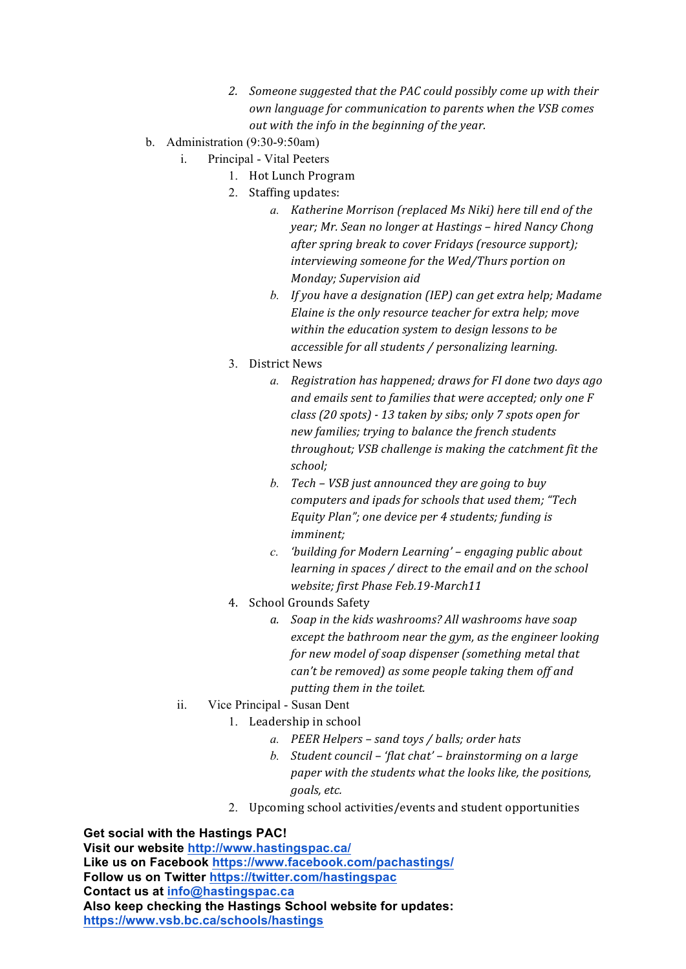- 2. Someone suggested that the PAC could possibly come up with their *own language for communication to parents when the VSB comes out with the info in the beginning of the year.*
- b. Administration (9:30-9:50am)
	- i. Principal Vital Peeters
		- 1. Hot Lunch Program
			- 2. Staffing updates:
				- a. *Katherine Morrison (replaced Ms Niki)* here till end of the *year;* Mr. Sean no longer at Hastings – hired Nancy Chong *after spring break to cover Fridays (resource support);* interviewing someone for the Wed/Thurs portion on *Monday; Supervision aid*
				- *b.* If you have a designation (IEP) can get extra help; Madame *Elaine is the only resource teacher for extra help; move* within the education system to design lessons to be *accessible for all students / personalizing learning.*
			- 3. District News
				- *a.* Registration has happened; draws for FI done two days ago and emails sent to families that were accepted; only one F *class (20 spots) - 13 taken by sibs; only 7 spots open for new families; trying to balance the french students throughout; VSB challenge is making the catchment fit the school;*
				- *b.* Tech VSB just announced they are going to buy *computers and ipads for schools that used them; "Tech Equity Plan";* one device per 4 students; funding is *imminent;*
				- *c. 'building* for Modern Learning' engaging public about *learning in spaces / direct to the email and on the school website; first Phase Feb.19-March11*
			- 4. School Grounds Safety
				- a. Soap in the kids washrooms? All washrooms have soap *except* the bathroom near the gym, as the engineer looking *for new model of soap dispenser (something metal that can't be removed)* as some people taking them off and *putting them in the toilet.*
	- ii. Vice Principal Susan Dent
		- 1. Leadership in school
			- *a. PEER Helpers – sand toys / balls; order hats*
			- *b.* Student council 'flat chat' brainstorming on a large *paper* with the students what the looks like, the positions, *goals, etc.*
			- 2. Upcoming school activities/events and student opportunities

**Get social with the Hastings PAC!**

**Visit our website http://www.hastingspac.ca/ Like us on Facebook https://www.facebook.com/pachastings/ Follow us on Twitter https://twitter.com/hastingspac Contact us at info@hastingspac.ca Also keep checking the Hastings School website for updates: https://www.vsb.bc.ca/schools/hastings**